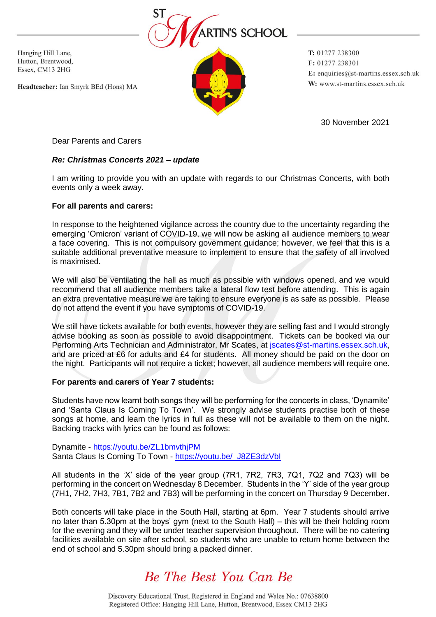

Hanging Hill Lane, Hutton, Brentwood, Essex, CM13 2HG

Headteacher: Ian Smyrk BEd (Hons) MA

T: 01277 238300 F: 01277 238301 E: enquiries@st-martins.essex.sch.uk W: www.st-martins.essex.sch.uk

30 November 2021

Dear Parents and Carers

## *Re: Christmas Concerts 2021 – update*

I am writing to provide you with an update with regards to our Christmas Concerts, with both events only a week away.

## **For all parents and carers:**

In response to the heightened vigilance across the country due to the uncertainty regarding the emerging 'Omicron' variant of COVID-19, we will now be asking all audience members to wear a face covering. This is not compulsory government guidance; however, we feel that this is a suitable additional preventative measure to implement to ensure that the safety of all involved is maximised.

We will also be ventilating the hall as much as possible with windows opened, and we would recommend that all audience members take a lateral flow test before attending. This is again an extra preventative measure we are taking to ensure everyone is as safe as possible. Please do not attend the event if you have symptoms of COVID-19.

We still have tickets available for both events, however they are selling fast and I would strongly advise booking as soon as possible to avoid disappointment. Tickets can be booked via our Performing Arts Technician and Administrator, Mr Scates, at *jscates@st-martins.essex.sch.uk*, and are priced at £6 for adults and £4 for students. All money should be paid on the door on the night. Participants will not require a ticket; however, all audience members will require one.

## **For parents and carers of Year 7 students:**

Students have now learnt both songs they will be performing for the concerts in class, 'Dynamite' and 'Santa Claus Is Coming To Town'. We strongly advise students practise both of these songs at home, and learn the lyrics in full as these will not be available to them on the night. Backing tracks with lyrics can be found as follows:

Dynamite - <https://youtu.be/ZL1bmvthjPM> Santa Claus Is Coming To Town - [https://youtu.be/\\_J8ZE3dzVbI](https://youtu.be/_J8ZE3dzVbI)

All students in the 'X' side of the year group (7R1, 7R2, 7R3, 7Q1, 7Q2 and 7Q3) will be performing in the concert on Wednesday 8 December. Students in the 'Y' side of the year group (7H1, 7H2, 7H3, 7B1, 7B2 and 7B3) will be performing in the concert on Thursday 9 December.

Both concerts will take place in the South Hall, starting at 6pm. Year 7 students should arrive no later than 5.30pm at the boys' gym (next to the South Hall) – this will be their holding room for the evening and they will be under teacher supervision throughout. There will be no catering facilities available on site after school, so students who are unable to return home between the end of school and 5.30pm should bring a packed dinner.

## Be The Best You Can Be

Discovery Educational Trust, Registered in England and Wales No.: 07638800 Registered Office: Hanging Hill Lane, Hutton, Brentwood, Essex CM13 2HG